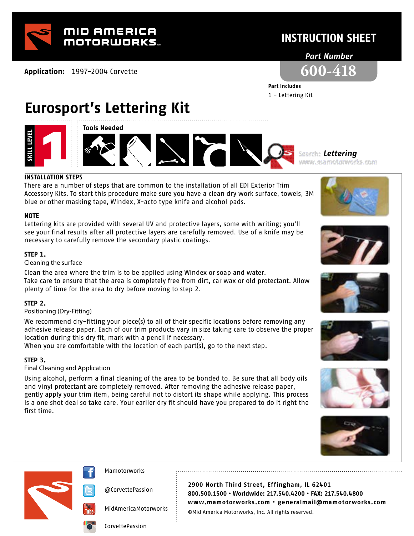

**Application:** 1997-2004 Corvette

# **INSTRUCTION SHEET**

## *Part Number*



**Part Includes**  1 - Lettering Kit

**Eurosport's Lettering Kit**







*Lettering*

### **INSTALLATION STEPS**

There are a number of steps that are common to the installation of all EDI Exterior Trim Accessory Kits. To start this procedure make sure you have a clean dry work surface, towels, 3M blue or other masking tape, Windex, X-acto type knife and alcohol pads.

### **NOTE**

Lettering kits are provided with several UV and protective layers, some with writing; you'll see your final results after all protective layers are carefully removed. Use of a knife may be necessary to carefully remove the secondary plastic coatings.

## **STEP 1.**

Cleaning the surface

Clean the area where the trim is to be applied using Windex or soap and water. Take care to ensure that the area is completely free from dirt, car wax or old protectant. Allow plenty of time for the area to dry before moving to step 2.

## **STEP 2.**

Positioning (Dry-Fitting)

We recommend dry-fitting your piece(s) to all of their specific locations before removing any adhesive release paper. Each of our trim products vary in size taking care to observe the proper location during this dry fit, mark with a pencil if necessary.

When you are comfortable with the location of each part(s), go to the next step.

## **STEP 3.**

### Final Cleaning and Application

Using alcohol, perform a final cleaning of the area to be bonded to. Be sure that all body oils and vinyl protectant are completely removed. After removing the adhesive release paper, gently apply your trim item, being careful not to distort its shape while applying. This process is a one shot deal so take care. Your earlier dry fit should have you prepared to do it right the first time.

















@CorvettePassion

MidAmericaMotorworks

**2900 North Third Street, Effingham, IL 62401 800.500.1500 • Worldwide: 217.540.4200 • FAX: 217.540.4800 www.mamotorworks.com • generalmail@mamotorworks.com** ©Mid America Motorworks, Inc. All rights reserved.

CorvettePassion